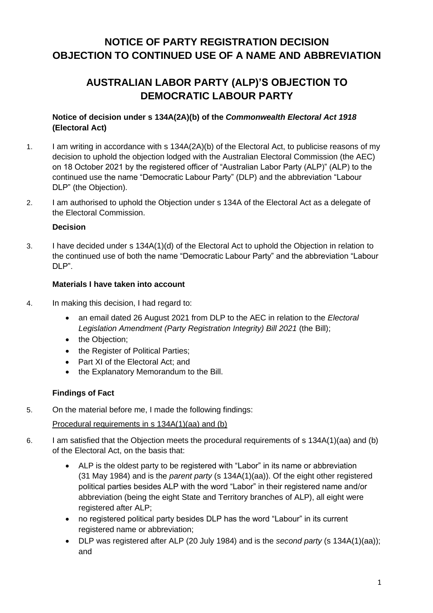# **NOTICE OF PARTY REGISTRATION DECISION OBJECTION TO CONTINUED USE OF A NAME AND ABBREVIATION**

# **AUSTRALIAN LABOR PARTY (ALP)'S OBJECTION TO DEMOCRATIC LABOUR PARTY**

## **Notice of decision under s 134A(2A)(b) of the** *Commonwealth Electoral Act 1918* **(Electoral Act)**

- 1. I am writing in accordance with s 134A(2A)(b) of the Electoral Act, to publicise reasons of my decision to uphold the objection lodged with the Australian Electoral Commission (the AEC) on 18 October 2021 by the registered officer of "Australian Labor Party (ALP)" (ALP) to the continued use the name "Democratic Labour Party" (DLP) and the abbreviation "Labour DLP" (the Objection).
- 2. I am authorised to uphold the Objection under s 134A of the Electoral Act as a delegate of the Electoral Commission.

## **Decision**

3. I have decided under s 134A(1)(d) of the Electoral Act to uphold the Objection in relation to the continued use of both the name "Democratic Labour Party" and the abbreviation "Labour DLP"

## **Materials I have taken into account**

- 4. In making this decision, I had regard to:
	- an email dated 26 August 2021 from DLP to the AEC in relation to the *Electoral Legislation Amendment (Party Registration Integrity) Bill 2021* (the Bill);
	- the Objection;
	- the Register of Political Parties;
	- Part XI of the Electoral Act: and
	- the Explanatory Memorandum to the Bill.

# **Findings of Fact**

5. On the material before me, I made the following findings:

# Procedural requirements in s 134A(1)(aa) and (b)

- 6. I am satisfied that the Objection meets the procedural requirements of s 134A(1)(aa) and (b) of the Electoral Act, on the basis that:
	- ALP is the oldest party to be registered with "Labor" in its name or abbreviation (31 May 1984) and is the *parent party* (s 134A(1)(aa)). Of the eight other registered political parties besides ALP with the word "Labor" in their registered name and/or abbreviation (being the eight State and Territory branches of ALP), all eight were registered after ALP;
	- no registered political party besides DLP has the word "Labour" in its current registered name or abbreviation;
	- DLP was registered after ALP (20 July 1984) and is the *second party* (s 134A(1)(aa)); and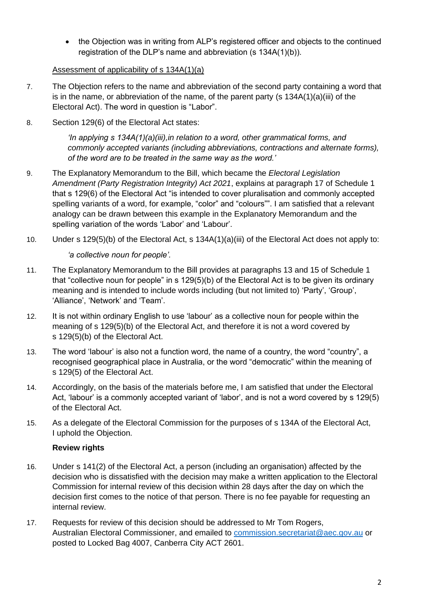• the Objection was in writing from ALP's registered officer and objects to the continued registration of the DLP's name and abbreviation (s 134A(1)(b)).

## Assessment of applicability of s 134A(1)(a)

- 7. The Objection refers to the name and abbreviation of the second party containing a word that is in the name, or abbreviation of the name, of the parent party (s 134A(1)(a)(iii) of the Electoral Act). The word in question is "Labor".
- 8. Section 129(6) of the Electoral Act states:

*'In applying s 134A(1)(a)(iii),in relation to a word, other grammatical forms, and commonly accepted variants (including abbreviations, contractions and alternate forms), of the word are to be treated in the same way as the word.'*

- 9. The Explanatory Memorandum to the Bill, which became the *Electoral Legislation Amendment (Party Registration Integrity) Act 2021*, explains at paragraph 17 of Schedule 1 that s 129(6) of the Electoral Act "is intended to cover pluralisation and commonly accepted spelling variants of a word, for example, "color" and "colours"". I am satisfied that a relevant analogy can be drawn between this example in the Explanatory Memorandum and the spelling variation of the words 'Labor' and 'Labour'.
- 10. Under s 129(5)(b) of the Electoral Act, s 134A(1)(a)(iii) of the Electoral Act does not apply to:

*'a collective noun for people'.* 

- 11. The Explanatory Memorandum to the Bill provides at paragraphs 13 and 15 of Schedule 1 that "collective noun for people" in s 129(5)(b) of the Electoral Act is to be given its ordinary meaning and is intended to include words including (but not limited to) 'Party', 'Group', 'Alliance', 'Network' and 'Team'.
- 12. It is not within ordinary English to use 'labour' as a collective noun for people within the meaning of s 129(5)(b) of the Electoral Act, and therefore it is not a word covered by s 129(5)(b) of the Electoral Act.
- 13. The word 'labour' is also not a function word, the name of a country, the word "country", a recognised geographical place in Australia, or the word "democratic" within the meaning of s 129(5) of the Electoral Act.
- 14. Accordingly, on the basis of the materials before me, I am satisfied that under the Electoral Act, 'labour' is a commonly accepted variant of 'labor', and is not a word covered by s 129(5) of the Electoral Act.
- 15. As a delegate of the Electoral Commission for the purposes of s 134A of the Electoral Act, I uphold the Objection.

## **Review rights**

- 16. Under s 141(2) of the Electoral Act, a person (including an organisation) affected by the decision who is dissatisfied with the decision may make a written application to the Electoral Commission for internal review of this decision within 28 days after the day on which the decision first comes to the notice of that person. There is no fee payable for requesting an internal review.
- 17. Requests for review of this decision should be addressed to Mr Tom Rogers, Australian Electoral Commissioner, and emailed to [commission.secretariat@aec.gov.au](mailto:commission.secretariat@aec.gov.au) or posted to Locked Bag 4007, Canberra City ACT 2601.